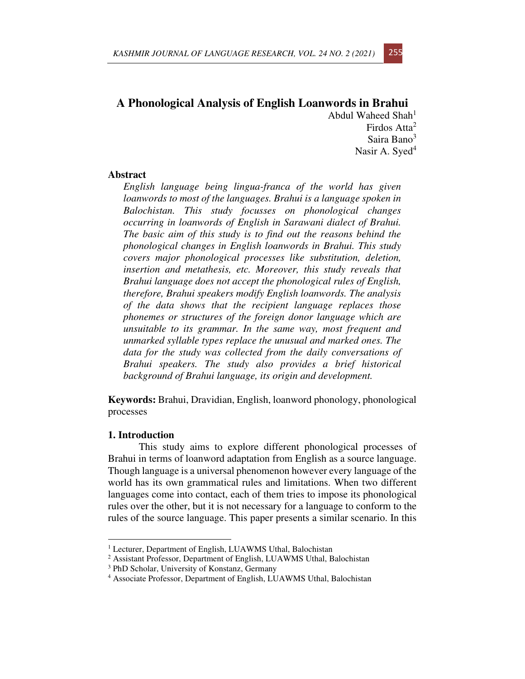# **A Phonological Analysis of English Loanwords in Brahui**  Abdul Waheed  $Shah<sup>1</sup>$

Firdos Atta<sup>2</sup> Saira Bano<sup>3</sup> Nasir A. Syed $4$ 

# **Abstract**

*English language being lingua-franca of the world has given loanwords to most of the languages. Brahui is a language spoken in Balochistan. This study focusses on phonological changes occurring in loanwords of English in Sarawani dialect of Brahui. The basic aim of this study is to find out the reasons behind the phonological changes in English loanwords in Brahui. This study covers major phonological processes like substitution, deletion, insertion and metathesis, etc. Moreover, this study reveals that Brahui language does not accept the phonological rules of English, therefore, Brahui speakers modify English loanwords. The analysis of the data shows that the recipient language replaces those phonemes or structures of the foreign donor language which are unsuitable to its grammar. In the same way, most frequent and unmarked syllable types replace the unusual and marked ones. The data for the study was collected from the daily conversations of Brahui speakers. The study also provides a brief historical background of Brahui language, its origin and development.* 

**Keywords:** Brahui, Dravidian, English, loanword phonology, phonological processes

### **1. Introduction**

This study aims to explore different phonological processes of Brahui in terms of loanword adaptation from English as a source language. Though language is a universal phenomenon however every language of the world has its own grammatical rules and limitations. When two different languages come into contact, each of them tries to impose its phonological rules over the other, but it is not necessary for a language to conform to the rules of the source language. This paper presents a similar scenario. In this

<sup>&</sup>lt;sup>1</sup> Lecturer, Department of English, LUAWMS Uthal, Balochistan

<sup>&</sup>lt;sup>2</sup> Assistant Professor, Department of English, LUAWMS Uthal, Balochistan

<sup>3</sup> PhD Scholar, University of Konstanz, Germany

<sup>&</sup>lt;sup>4</sup> Associate Professor, Department of English, LUAWMS Uthal, Balochistan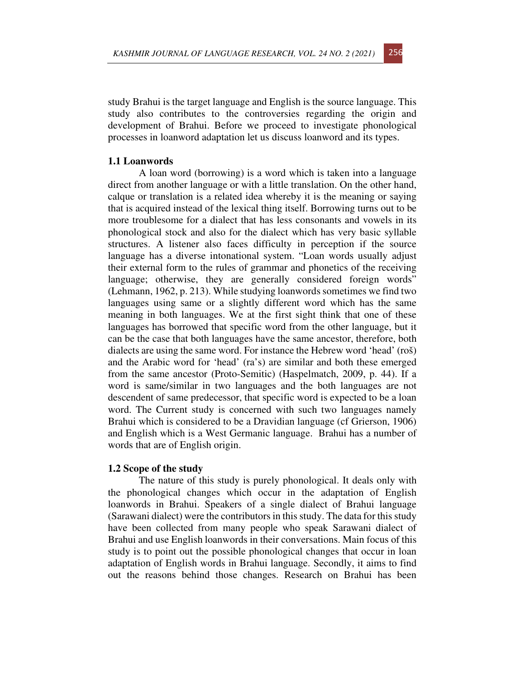study Brahui is the target language and English is the source language. This study also contributes to the controversies regarding the origin and development of Brahui. Before we proceed to investigate phonological processes in loanword adaptation let us discuss loanword and its types.

### **1.1 Loanwords**

A loan word (borrowing) is a word which is taken into a language direct from another language or with a little translation. On the other hand, calque or translation is a related idea whereby it is the meaning or saying that is acquired instead of the lexical thing itself. Borrowing turns out to be more troublesome for a dialect that has less consonants and vowels in its phonological stock and also for the dialect which has very basic syllable structures. A listener also faces difficulty in perception if the source language has a diverse intonational system. "Loan words usually adjust their external form to the rules of grammar and phonetics of the receiving language; otherwise, they are generally considered foreign words" (Lehmann, 1962, p. 213). While studying loanwords sometimes we find two languages using same or a slightly different word which has the same meaning in both languages. We at the first sight think that one of these languages has borrowed that specific word from the other language, but it can be the case that both languages have the same ancestor, therefore, both dialects are using the same word. For instance the Hebrew word 'head' (roš) and the Arabic word for 'head' (ra's) are similar and both these emerged from the same ancestor (Proto-Semitic) (Haspelmatch, 2009, p. 44). If a word is same/similar in two languages and the both languages are not descendent of same predecessor, that specific word is expected to be a loan word. The Current study is concerned with such two languages namely Brahui which is considered to be a Dravidian language (cf Grierson, 1906) and English which is a West Germanic language. Brahui has a number of words that are of English origin.

#### **1.2 Scope of the study**

The nature of this study is purely phonological. It deals only with the phonological changes which occur in the adaptation of English loanwords in Brahui. Speakers of a single dialect of Brahui language (Sarawani dialect) were the contributors in this study. The data for this study have been collected from many people who speak Sarawani dialect of Brahui and use English loanwords in their conversations. Main focus of this study is to point out the possible phonological changes that occur in loan adaptation of English words in Brahui language. Secondly, it aims to find out the reasons behind those changes. Research on Brahui has been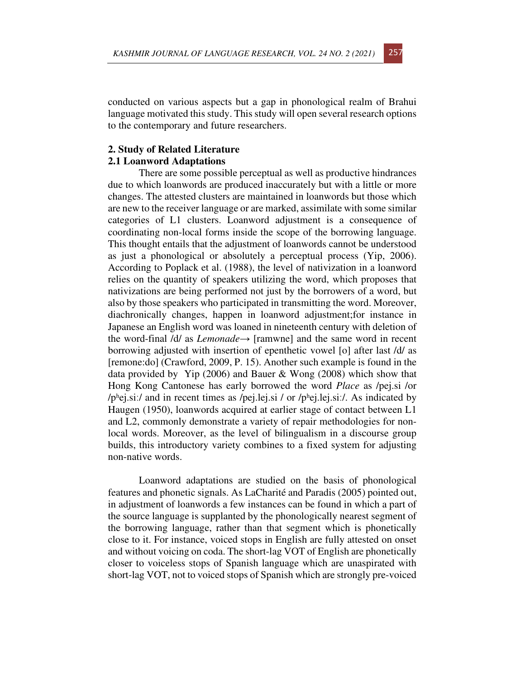conducted on various aspects but a gap in phonological realm of Brahui language motivated this study. This study will open several research options to the contemporary and future researchers.

# **2. Study of Related Literature**

### **2.1 Loanword Adaptations**

There are some possible perceptual as well as productive hindrances due to which loanwords are produced inaccurately but with a little or more changes. The attested clusters are maintained in loanwords but those which are new to the receiver language or are marked, assimilate with some similar categories of L1 clusters. Loanword adjustment is a consequence of coordinating non-local forms inside the scope of the borrowing language. This thought entails that the adjustment of loanwords cannot be understood as just a phonological or absolutely a perceptual process (Yip, 2006). According to Poplack et al. (1988), the level of nativization in a loanword relies on the quantity of speakers utilizing the word, which proposes that nativizations are being performed not just by the borrowers of a word, but also by those speakers who participated in transmitting the word. Moreover, diachronically changes, happen in loanword adjustment;for instance in Japanese an English word was loaned in nineteenth century with deletion of the word-final /d/ as *Lemonade*→ [ramwne] and the same word in recent borrowing adjusted with insertion of epenthetic vowel [o] after last /d/ as [remone:do] (Crawford, 2009, P. 15). Another such example is found in the data provided by Yip (2006) and Bauer & Wong (2008) which show that Hong Kong Cantonese has early borrowed the word *Place* as /pej.si /or /phej.si:/ and in recent times as /pej.lej.si / or /phej.lej.si:/. As indicated by Haugen (1950), loanwords acquired at earlier stage of contact between L1 and L2, commonly demonstrate a variety of repair methodologies for nonlocal words. Moreover, as the level of bilingualism in a discourse group builds, this introductory variety combines to a fixed system for adjusting non-native words.

Loanword adaptations are studied on the basis of phonological features and phonetic signals. As LaCharité and Paradis (2005) pointed out, in adjustment of loanwords a few instances can be found in which a part of the source language is supplanted by the phonologically nearest segment of the borrowing language, rather than that segment which is phonetically close to it. For instance, voiced stops in English are fully attested on onset and without voicing on coda. The short-lag VOT of English are phonetically closer to voiceless stops of Spanish language which are unaspirated with short-lag VOT, not to voiced stops of Spanish which are strongly pre-voiced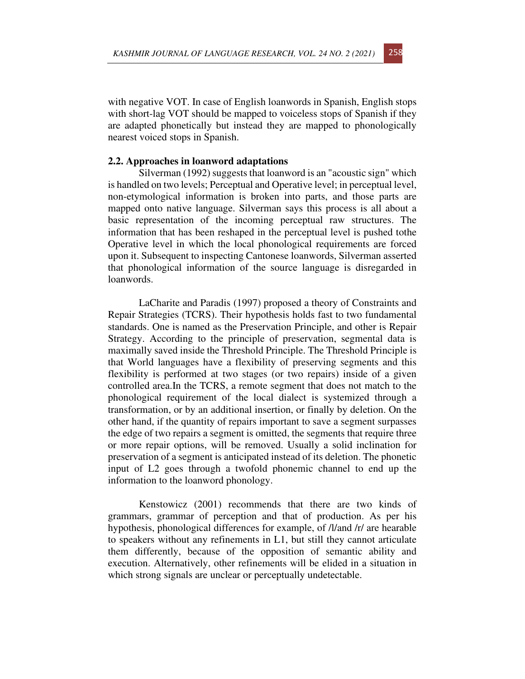with negative VOT. In case of English loanwords in Spanish, English stops with short-lag VOT should be mapped to voiceless stops of Spanish if they are adapted phonetically but instead they are mapped to phonologically nearest voiced stops in Spanish.

#### **2.2. Approaches in loanword adaptations**

Silverman (1992) suggests that loanword is an "acoustic sign" which is handled on two levels; Perceptual and Operative level; in perceptual level, non-etymological information is broken into parts, and those parts are mapped onto native language. Silverman says this process is all about a basic representation of the incoming perceptual raw structures. The information that has been reshaped in the perceptual level is pushed tothe Operative level in which the local phonological requirements are forced upon it. Subsequent to inspecting Cantonese loanwords, Silverman asserted that phonological information of the source language is disregarded in loanwords.

LaCharite and Paradis (1997) proposed a theory of Constraints and Repair Strategies (TCRS). Their hypothesis holds fast to two fundamental standards. One is named as the Preservation Principle, and other is Repair Strategy. According to the principle of preservation, segmental data is maximally saved inside the Threshold Principle. The Threshold Principle is that World languages have a flexibility of preserving segments and this flexibility is performed at two stages (or two repairs) inside of a given controlled area.In the TCRS, a remote segment that does not match to the phonological requirement of the local dialect is systemized through a transformation, or by an additional insertion, or finally by deletion. On the other hand, if the quantity of repairs important to save a segment surpasses the edge of two repairs a segment is omitted, the segments that require three or more repair options, will be removed. Usually a solid inclination for preservation of a segment is anticipated instead of its deletion. The phonetic input of L2 goes through a twofold phonemic channel to end up the information to the loanword phonology.

Kenstowicz (2001) recommends that there are two kinds of grammars, grammar of perception and that of production. As per his hypothesis, phonological differences for example, of /l/and /r/ are hearable to speakers without any refinements in L1, but still they cannot articulate them differently, because of the opposition of semantic ability and execution. Alternatively, other refinements will be elided in a situation in which strong signals are unclear or perceptually undetectable.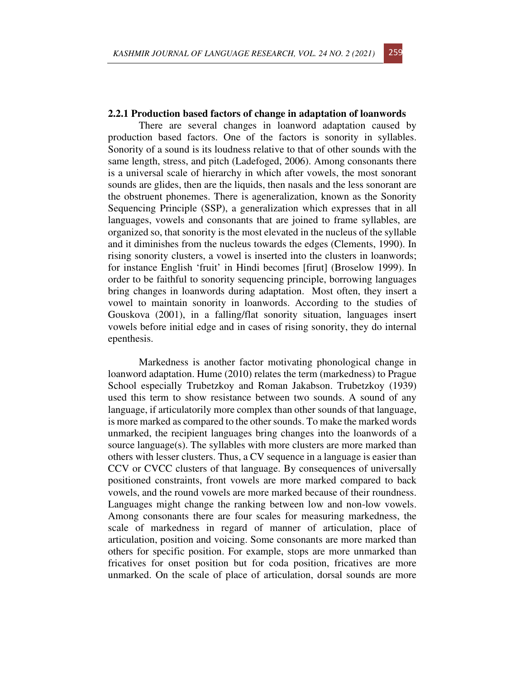# **2.2.1 Production based factors of change in adaptation of loanwords**

There are several changes in loanword adaptation caused by production based factors. One of the factors is sonority in syllables. Sonority of a sound is its loudness relative to that of other sounds with the same length, stress, and pitch (Ladefoged, 2006). Among consonants there is a universal scale of hierarchy in which after vowels, the most sonorant sounds are glides, then are the liquids, then nasals and the less sonorant are the obstruent phonemes. There is ageneralization, known as the Sonority Sequencing Principle (SSP), a generalization which expresses that in all languages, vowels and consonants that are joined to frame syllables, are organized so, that sonority is the most elevated in the nucleus of the syllable and it diminishes from the nucleus towards the edges (Clements, 1990). In rising sonority clusters, a vowel is inserted into the clusters in loanwords; for instance English 'fruit' in Hindi becomes [firut] (Broselow 1999). In order to be faithful to sonority sequencing principle, borrowing languages bring changes in loanwords during adaptation. Most often, they insert a vowel to maintain sonority in loanwords. According to the studies of Gouskova (2001), in a falling/flat sonority situation, languages insert vowels before initial edge and in cases of rising sonority, they do internal epenthesis.

Markedness is another factor motivating phonological change in loanword adaptation. Hume (2010) relates the term (markedness) to Prague School especially Trubetzkoy and Roman Jakabson. Trubetzkoy (1939) used this term to show resistance between two sounds. A sound of any language, if articulatorily more complex than other sounds of that language, is more marked as compared to the other sounds. To make the marked words unmarked, the recipient languages bring changes into the loanwords of a source language(s). The syllables with more clusters are more marked than others with lesser clusters. Thus, a CV sequence in a language is easier than CCV or CVCC clusters of that language. By consequences of universally positioned constraints, front vowels are more marked compared to back vowels, and the round vowels are more marked because of their roundness. Languages might change the ranking between low and non-low vowels. Among consonants there are four scales for measuring markedness, the scale of markedness in regard of manner of articulation, place of articulation, position and voicing. Some consonants are more marked than others for specific position. For example, stops are more unmarked than fricatives for onset position but for coda position, fricatives are more unmarked. On the scale of place of articulation, dorsal sounds are more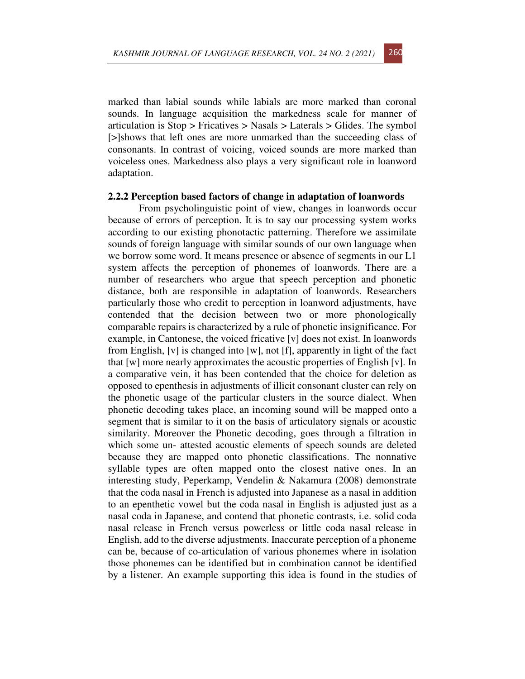marked than labial sounds while labials are more marked than coronal sounds. In language acquisition the markedness scale for manner of articulation is Stop > Fricatives > Nasals > Laterals > Glides. The symbol [>]shows that left ones are more unmarked than the succeeding class of consonants. In contrast of voicing, voiced sounds are more marked than voiceless ones. Markedness also plays a very significant role in loanword adaptation.

#### **2.2.2 Perception based factors of change in adaptation of loanwords**

From psycholinguistic point of view, changes in loanwords occur because of errors of perception. It is to say our processing system works according to our existing phonotactic patterning. Therefore we assimilate sounds of foreign language with similar sounds of our own language when we borrow some word. It means presence or absence of segments in our L1 system affects the perception of phonemes of loanwords. There are a number of researchers who argue that speech perception and phonetic distance, both are responsible in adaptation of loanwords. Researchers particularly those who credit to perception in loanword adjustments, have contended that the decision between two or more phonologically comparable repairs is characterized by a rule of phonetic insignificance. For example, in Cantonese, the voiced fricative [v] does not exist. In loanwords from English, [v] is changed into [w], not [f], apparently in light of the fact that [w] more nearly approximates the acoustic properties of English [v]. In a comparative vein, it has been contended that the choice for deletion as opposed to epenthesis in adjustments of illicit consonant cluster can rely on the phonetic usage of the particular clusters in the source dialect. When phonetic decoding takes place, an incoming sound will be mapped onto a segment that is similar to it on the basis of articulatory signals or acoustic similarity. Moreover the Phonetic decoding, goes through a filtration in which some un- attested acoustic elements of speech sounds are deleted because they are mapped onto phonetic classifications. The nonnative syllable types are often mapped onto the closest native ones. In an interesting study, Peperkamp, Vendelin & Nakamura (2008) demonstrate that the coda nasal in French is adjusted into Japanese as a nasal in addition to an epenthetic vowel but the coda nasal in English is adjusted just as a nasal coda in Japanese, and contend that phonetic contrasts, i.e. solid coda nasal release in French versus powerless or little coda nasal release in English, add to the diverse adjustments. Inaccurate perception of a phoneme can be, because of co-articulation of various phonemes where in isolation those phonemes can be identified but in combination cannot be identified by a listener. An example supporting this idea is found in the studies of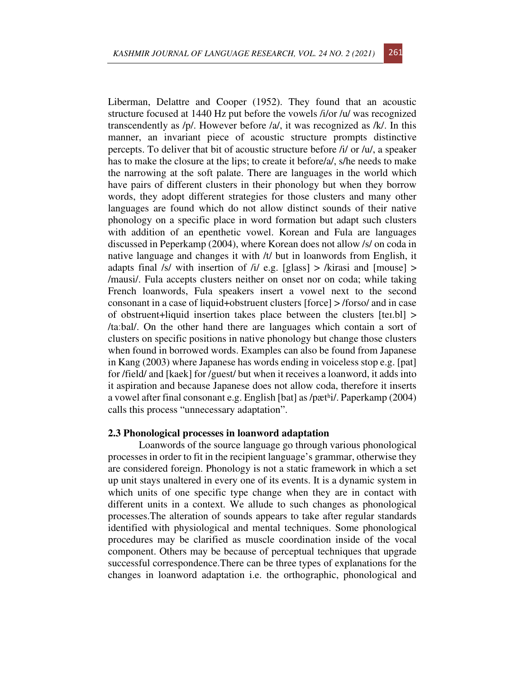Liberman, Delattre and Cooper (1952). They found that an acoustic structure focused at 1440 Hz put before the vowels /i/or /u/ was recognized transcendently as /p/. However before /a/, it was recognized as /k/. In this manner, an invariant piece of acoustic structure prompts distinctive percepts. To deliver that bit of acoustic structure before /i/ or /u/, a speaker has to make the closure at the lips; to create it before/a/, s/he needs to make the narrowing at the soft palate. There are languages in the world which have pairs of different clusters in their phonology but when they borrow words, they adopt different strategies for those clusters and many other languages are found which do not allow distinct sounds of their native phonology on a specific place in word formation but adapt such clusters with addition of an epenthetic vowel. Korean and Fula are languages discussed in Peperkamp (2004), where Korean does not allow /s/ on coda in native language and changes it with /t/ but in loanwords from English, it adapts final /s/ with insertion of /i/ e.g. [glass]  $>$  /kirasi and [mouse]  $>$ /mausi/. Fula accepts clusters neither on onset nor on coda; while taking French loanwords, Fula speakers insert a vowel next to the second consonant in a case of liquid+obstruent clusters [force] > /forso/ and in case of obstruent+liquid insertion takes place between the clusters [teɪ.bl] > /taːbal/. On the other hand there are languages which contain a sort of clusters on specific positions in native phonology but change those clusters when found in borrowed words. Examples can also be found from Japanese in Kang (2003) where Japanese has words ending in voiceless stop e.g. [pat] for /field/ and [kaek] for /guest/ but when it receives a loanword, it adds into it aspiration and because Japanese does not allow coda, therefore it inserts a vowel after final consonant e.g. English [bat] as /pætʰi/. Paperkamp (2004) calls this process "unnecessary adaptation".

## **2.3 Phonological processes in loanword adaptation**

Loanwords of the source language go through various phonological processes in order to fit in the recipient language's grammar, otherwise they are considered foreign. Phonology is not a static framework in which a set up unit stays unaltered in every one of its events. It is a dynamic system in which units of one specific type change when they are in contact with different units in a context. We allude to such changes as phonological processes.The alteration of sounds appears to take after regular standards identified with physiological and mental techniques. Some phonological procedures may be clarified as muscle coordination inside of the vocal component. Others may be because of perceptual techniques that upgrade successful correspondence.There can be three types of explanations for the changes in loanword adaptation i.e. the orthographic, phonological and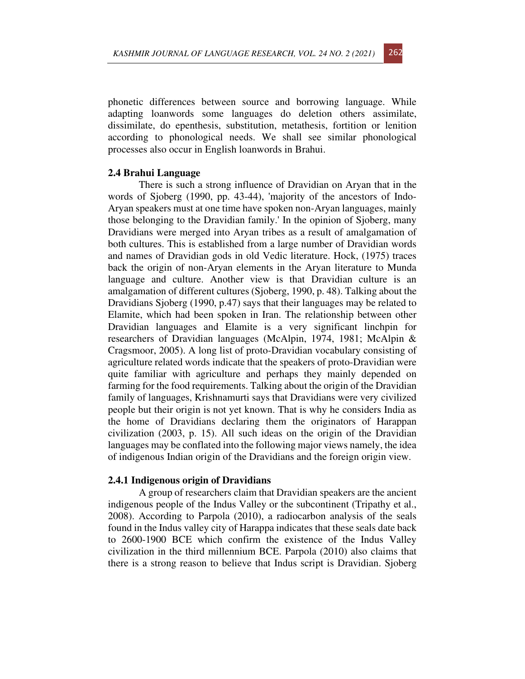phonetic differences between source and borrowing language. While adapting loanwords some languages do deletion others assimilate, dissimilate, do epenthesis, substitution, metathesis, fortition or lenition according to phonological needs. We shall see similar phonological processes also occur in English loanwords in Brahui.

#### **2.4 Brahui Language**

There is such a strong influence of Dravidian on Aryan that in the words of Sjoberg (1990, pp. 43-44), 'majority of the ancestors of Indo-Aryan speakers must at one time have spoken non-Aryan languages, mainly those belonging to the Dravidian family.' In the opinion of Sjoberg, many Dravidians were merged into Aryan tribes as a result of amalgamation of both cultures. This is established from a large number of Dravidian words and names of Dravidian gods in old Vedic literature. Hock, (1975) traces back the origin of non-Aryan elements in the Aryan literature to Munda language and culture. Another view is that Dravidian culture is an amalgamation of different cultures (Sjoberg, 1990, p. 48). Talking about the Dravidians Sjoberg (1990, p.47) says that their languages may be related to Elamite, which had been spoken in Iran. The relationship between other Dravidian languages and Elamite is a very significant linchpin for researchers of Dravidian languages (McAlpin, 1974, 1981; McAlpin & Cragsmoor, 2005). A long list of proto-Dravidian vocabulary consisting of agriculture related words indicate that the speakers of proto-Dravidian were quite familiar with agriculture and perhaps they mainly depended on farming for the food requirements. Talking about the origin of the Dravidian family of languages, Krishnamurti says that Dravidians were very civilized people but their origin is not yet known. That is why he considers India as the home of Dravidians declaring them the originators of Harappan civilization (2003, p. 15). All such ideas on the origin of the Dravidian languages may be conflated into the following major views namely, the idea of indigenous Indian origin of the Dravidians and the foreign origin view.

#### **2.4.1 Indigenous origin of Dravidians**

A group of researchers claim that Dravidian speakers are the ancient indigenous people of the Indus Valley or the subcontinent (Tripathy et al., 2008). According to Parpola (2010), a radiocarbon analysis of the seals found in the Indus valley city of Harappa indicates that these seals date back to 2600-1900 BCE which confirm the existence of the Indus Valley civilization in the third millennium BCE. Parpola (2010) also claims that there is a strong reason to believe that Indus script is Dravidian. Sjoberg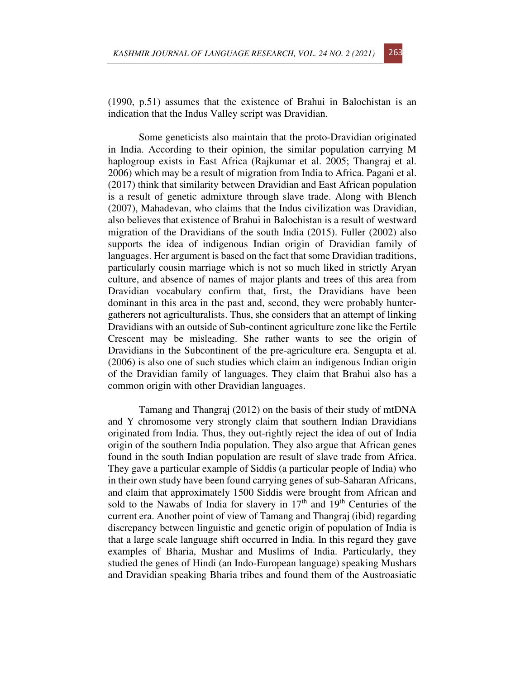(1990, p.51) assumes that the existence of Brahui in Balochistan is an indication that the Indus Valley script was Dravidian.

Some geneticists also maintain that the proto-Dravidian originated in India. According to their opinion, the similar population carrying M haplogroup exists in East Africa (Rajkumar et al. 2005; Thangraj et al. 2006) which may be a result of migration from India to Africa. Pagani et al. (2017) think that similarity between Dravidian and East African population is a result of genetic admixture through slave trade. Along with Blench (2007), Mahadevan, who claims that the Indus civilization was Dravidian, also believes that existence of Brahui in Balochistan is a result of westward migration of the Dravidians of the south India (2015). Fuller (2002) also supports the idea of indigenous Indian origin of Dravidian family of languages. Her argument is based on the fact that some Dravidian traditions, particularly cousin marriage which is not so much liked in strictly Aryan culture, and absence of names of major plants and trees of this area from Dravidian vocabulary confirm that, first, the Dravidians have been dominant in this area in the past and, second, they were probably huntergatherers not agriculturalists. Thus, she considers that an attempt of linking Dravidians with an outside of Sub-continent agriculture zone like the Fertile Crescent may be misleading. She rather wants to see the origin of Dravidians in the Subcontinent of the pre-agriculture era. Sengupta et al. (2006) is also one of such studies which claim an indigenous Indian origin of the Dravidian family of languages. They claim that Brahui also has a common origin with other Dravidian languages.

Tamang and Thangraj (2012) on the basis of their study of mtDNA and Y chromosome very strongly claim that southern Indian Dravidians originated from India. Thus, they out-rightly reject the idea of out of India origin of the southern India population. They also argue that African genes found in the south Indian population are result of slave trade from Africa. They gave a particular example of Siddis (a particular people of India) who in their own study have been found carrying genes of sub-Saharan Africans, and claim that approximately 1500 Siddis were brought from African and sold to the Nawabs of India for slavery in  $17<sup>th</sup>$  and  $19<sup>th</sup>$  Centuries of the current era. Another point of view of Tamang and Thangraj (ibid) regarding discrepancy between linguistic and genetic origin of population of India is that a large scale language shift occurred in India. In this regard they gave examples of Bharia, Mushar and Muslims of India. Particularly, they studied the genes of Hindi (an Indo-European language) speaking Mushars and Dravidian speaking Bharia tribes and found them of the Austroasiatic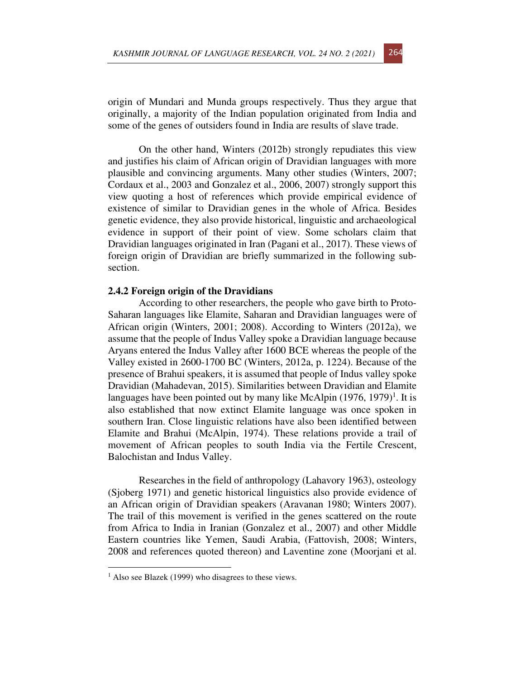origin of Mundari and Munda groups respectively. Thus they argue that originally, a majority of the Indian population originated from India and some of the genes of outsiders found in India are results of slave trade.

On the other hand, Winters (2012b) strongly repudiates this view and justifies his claim of African origin of Dravidian languages with more plausible and convincing arguments. Many other studies (Winters, 2007; Cordaux et al., 2003 and Gonzalez et al., 2006, 2007) strongly support this view quoting a host of references which provide empirical evidence of existence of similar to Dravidian genes in the whole of Africa. Besides genetic evidence, they also provide historical, linguistic and archaeological evidence in support of their point of view. Some scholars claim that Dravidian languages originated in Iran (Pagani et al., 2017). These views of foreign origin of Dravidian are briefly summarized in the following subsection.

#### **2.4.2 Foreign origin of the Dravidians**

According to other researchers, the people who gave birth to Proto-Saharan languages like Elamite, Saharan and Dravidian languages were of African origin (Winters, 2001; 2008). According to Winters (2012a), we assume that the people of Indus Valley spoke a Dravidian language because Aryans entered the Indus Valley after 1600 BCE whereas the people of the Valley existed in 2600-1700 BC (Winters, 2012a, p. 1224). Because of the presence of Brahui speakers, it is assumed that people of Indus valley spoke Dravidian (Mahadevan, 2015). Similarities between Dravidian and Elamite languages have been pointed out by many like McAlpin  $(1976, 1979)^1$ . It is also established that now extinct Elamite language was once spoken in southern Iran. Close linguistic relations have also been identified between Elamite and Brahui (McAlpin, 1974). These relations provide a trail of movement of African peoples to south India via the Fertile Crescent, Balochistan and Indus Valley.

Researches in the field of anthropology (Lahavory 1963), osteology (Sjoberg 1971) and genetic historical linguistics also provide evidence of an African origin of Dravidian speakers (Aravanan 1980; Winters 2007). The trail of this movement is verified in the genes scattered on the route from Africa to India in Iranian (Gonzalez et al., 2007) and other Middle Eastern countries like Yemen, Saudi Arabia, (Fattovish, 2008; Winters, 2008 and references quoted thereon) and Laventine zone (Moorjani et al.

<sup>&</sup>lt;sup>1</sup> Also see Blazek (1999) who disagrees to these views.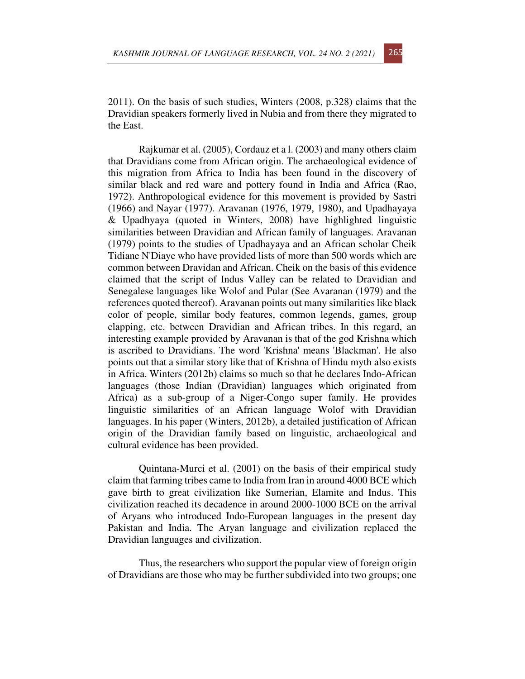2011). On the basis of such studies, Winters (2008, p.328) claims that the Dravidian speakers formerly lived in Nubia and from there they migrated to the East.

Rajkumar et al. (2005), Cordauz et a l. (2003) and many others claim that Dravidians come from African origin. The archaeological evidence of this migration from Africa to India has been found in the discovery of similar black and red ware and pottery found in India and Africa (Rao, 1972). Anthropological evidence for this movement is provided by Sastri (1966) and Nayar (1977). Aravanan (1976, 1979, 1980), and Upadhayaya & Upadhyaya (quoted in Winters, 2008) have highlighted linguistic similarities between Dravidian and African family of languages. Aravanan (1979) points to the studies of Upadhayaya and an African scholar Cheik Tidiane N'Diaye who have provided lists of more than 500 words which are common between Dravidan and African. Cheik on the basis of this evidence claimed that the script of Indus Valley can be related to Dravidian and Senegalese languages like Wolof and Pular (See Avaranan (1979) and the references quoted thereof). Aravanan points out many similarities like black color of people, similar body features, common legends, games, group clapping, etc. between Dravidian and African tribes. In this regard, an interesting example provided by Aravanan is that of the god Krishna which is ascribed to Dravidians. The word 'Krishna' means 'Blackman'. He also points out that a similar story like that of Krishna of Hindu myth also exists in Africa. Winters (2012b) claims so much so that he declares Indo-African languages (those Indian (Dravidian) languages which originated from Africa) as a sub-group of a Niger-Congo super family. He provides linguistic similarities of an African language Wolof with Dravidian languages. In his paper (Winters, 2012b), a detailed justification of African origin of the Dravidian family based on linguistic, archaeological and cultural evidence has been provided.

Quintana-Murci et al. (2001) on the basis of their empirical study claim that farming tribes came to India from Iran in around 4000 BCE which gave birth to great civilization like Sumerian, Elamite and Indus. This civilization reached its decadence in around 2000-1000 BCE on the arrival of Aryans who introduced Indo-European languages in the present day Pakistan and India. The Aryan language and civilization replaced the Dravidian languages and civilization.

Thus, the researchers who support the popular view of foreign origin of Dravidians are those who may be further subdivided into two groups; one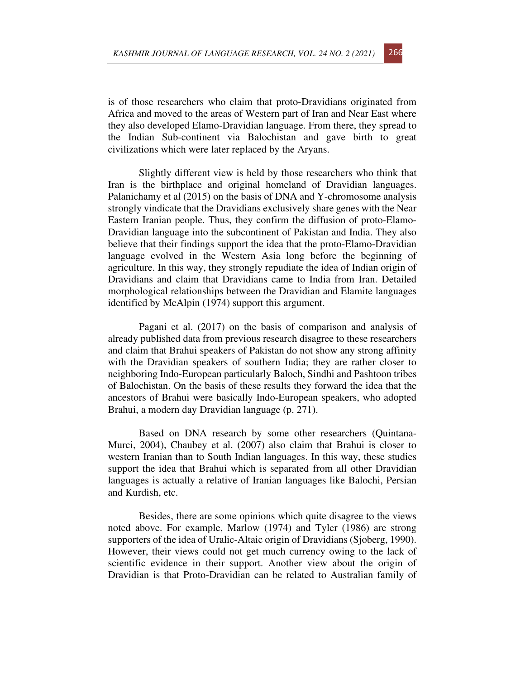is of those researchers who claim that proto-Dravidians originated from Africa and moved to the areas of Western part of Iran and Near East where they also developed Elamo-Dravidian language. From there, they spread to the Indian Sub-continent via Balochistan and gave birth to great civilizations which were later replaced by the Aryans.

Slightly different view is held by those researchers who think that Iran is the birthplace and original homeland of Dravidian languages. Palanichamy et al (2015) on the basis of DNA and Y-chromosome analysis strongly vindicate that the Dravidians exclusively share genes with the Near Eastern Iranian people. Thus, they confirm the diffusion of proto-Elamo-Dravidian language into the subcontinent of Pakistan and India. They also believe that their findings support the idea that the proto-Elamo-Dravidian language evolved in the Western Asia long before the beginning of agriculture. In this way, they strongly repudiate the idea of Indian origin of Dravidians and claim that Dravidians came to India from Iran. Detailed morphological relationships between the Dravidian and Elamite languages identified by McAlpin (1974) support this argument.

Pagani et al. (2017) on the basis of comparison and analysis of already published data from previous research disagree to these researchers and claim that Brahui speakers of Pakistan do not show any strong affinity with the Dravidian speakers of southern India; they are rather closer to neighboring Indo-European particularly Baloch, Sindhi and Pashtoon tribes of Balochistan. On the basis of these results they forward the idea that the ancestors of Brahui were basically Indo-European speakers, who adopted Brahui, a modern day Dravidian language (p. 271).

Based on DNA research by some other researchers (Quintana-Murci, 2004), Chaubey et al. (2007) also claim that Brahui is closer to western Iranian than to South Indian languages. In this way, these studies support the idea that Brahui which is separated from all other Dravidian languages is actually a relative of Iranian languages like Balochi, Persian and Kurdish, etc.

Besides, there are some opinions which quite disagree to the views noted above. For example, Marlow (1974) and Tyler (1986) are strong supporters of the idea of Uralic-Altaic origin of Dravidians (Sjoberg, 1990). However, their views could not get much currency owing to the lack of scientific evidence in their support. Another view about the origin of Dravidian is that Proto-Dravidian can be related to Australian family of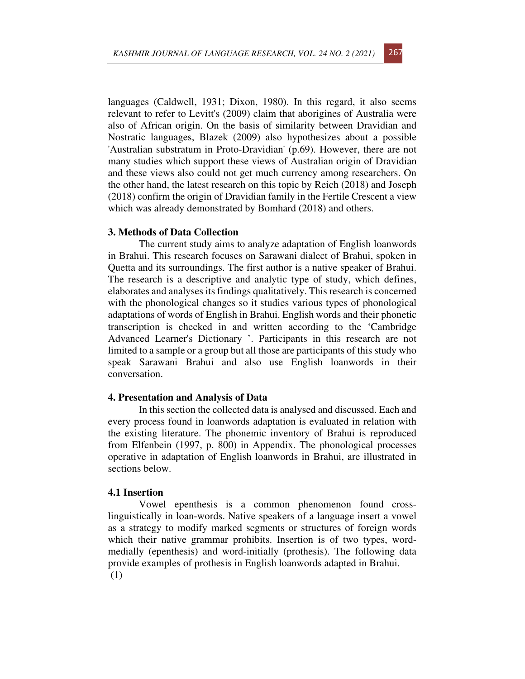languages (Caldwell, 1931; Dixon, 1980). In this regard, it also seems relevant to refer to Levitt's (2009) claim that aborigines of Australia were also of African origin. On the basis of similarity between Dravidian and Nostratic languages, Blazek (2009) also hypothesizes about a possible 'Australian substratum in Proto-Dravidian' (p.69). However, there are not many studies which support these views of Australian origin of Dravidian and these views also could not get much currency among researchers. On the other hand, the latest research on this topic by Reich (2018) and Joseph (2018) confirm the origin of Dravidian family in the Fertile Crescent a view which was already demonstrated by Bomhard (2018) and others.

### **3. Methods of Data Collection**

The current study aims to analyze adaptation of English loanwords in Brahui. This research focuses on Sarawani dialect of Brahui, spoken in Quetta and its surroundings. The first author is a native speaker of Brahui. The research is a descriptive and analytic type of study, which defines, elaborates and analyses its findings qualitatively. This research is concerned with the phonological changes so it studies various types of phonological adaptations of words of English in Brahui. English words and their phonetic transcription is checked in and written according to the 'Cambridge Advanced Learner's Dictionary '. Participants in this research are not limited to a sample or a group but all those are participants of this study who speak Sarawani Brahui and also use English loanwords in their conversation.

#### **4. Presentation and Analysis of Data**

In this section the collected data is analysed and discussed. Each and every process found in loanwords adaptation is evaluated in relation with the existing literature. The phonemic inventory of Brahui is reproduced from Elfenbein (1997, p. 800) in Appendix. The phonological processes operative in adaptation of English loanwords in Brahui, are illustrated in sections below.

### **4.1 Insertion**

Vowel epenthesis is a common phenomenon found crosslinguistically in loan-words. Native speakers of a language insert a vowel as a strategy to modify marked segments or structures of foreign words which their native grammar prohibits. Insertion is of two types, wordmedially (epenthesis) and word-initially (prothesis). The following data provide examples of prothesis in English loanwords adapted in Brahui. (1)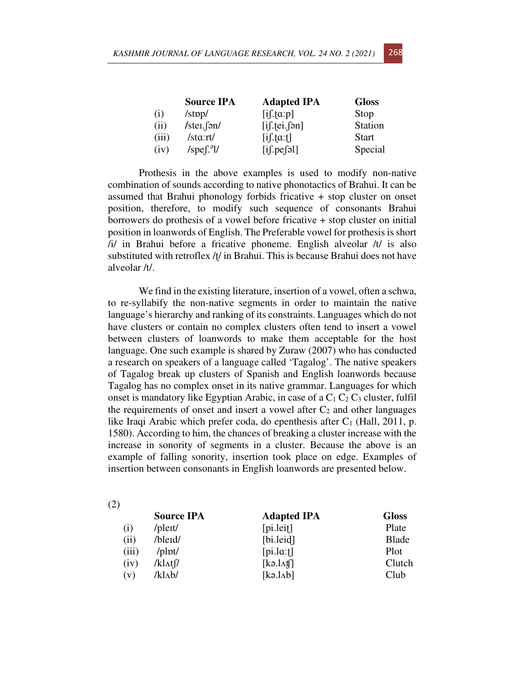|       | <b>Source IPA</b>                 | <b>Adapted IPA</b>             | <b>Gloss</b> |
|-------|-----------------------------------|--------------------------------|--------------|
| (i)   | $\frac{\text{Jstop}}{\text{J}}$   | $[i]$ : $[\alpha:p]$           | Stop         |
| (ii)  | $/$ stei. $\int$ ən $/$           | $[i]$ : $[ei]$                 | Station      |
| (iii) | $\frac{\text{stat}}{\text{stat}}$ | $[i]$ : $[\alpha$ : $\dagger]$ | <b>Start</b> |
| (iv)  | $/spe[^{9}]/$                     | $[i]$ . pe $[3]$               | Special      |

Prothesis in the above examples is used to modify non-native combination of sounds according to native phonotactics of Brahui. It can be assumed that Brahui phonology forbids fricative + stop cluster on onset position, therefore, to modify such sequence of consonants Brahui borrowers do prothesis of a vowel before fricative + stop cluster on initial position in loanwords of English. The Preferable vowel for prothesis is short /i/ in Brahui before a fricative phoneme. English alveolar /t/ is also substituted with retroflex /ʈ/ in Brahui. This is because Brahui does not have alveolar /t/.

We find in the existing literature, insertion of a vowel, often a schwa, to re-syllabify the non-native segments in order to maintain the native language's hierarchy and ranking of its constraints. Languages which do not have clusters or contain no complex clusters often tend to insert a vowel between clusters of loanwords to make them acceptable for the host language. One such example is shared by Zuraw (2007) who has conducted a research on speakers of a language called 'Tagalog'. The native speakers of Tagalog break up clusters of Spanish and English loanwords because Tagalog has no complex onset in its native grammar. Languages for which onset is mandatory like Egyptian Arabic, in case of a  $C_1 C_2 C_3$  cluster, fulfil the requirements of onset and insert a vowel after  $C_2$  and other languages like Iraqi Arabic which prefer coda, do epenthesis after  $C_1$  (Hall, 2011, p. 1580). According to him, the chances of breaking a cluster increase with the increase in sonority of segments in a cluster. Because the above is an example of falling sonority, insertion took place on edge. Examples of insertion between consonants in English loanwords are presented below.

| (2)   |                        |                         |              |
|-------|------------------------|-------------------------|--------------|
|       | <b>Source IPA</b>      | <b>Adapted IPA</b>      | <b>Gloss</b> |
| (i)   | /pleit/                | [pi.left]               | Plate        |
| (ii)  | /bleid/                | [bi. leid]              | <b>Blade</b> |
| (iii) | $\prime$ plpt $\prime$ | $[pi.l\alpha: \dagger]$ | Plot         |
| (iv)  | /klatf/                | [kə.l <sub>A</sub> tf]  | Clutch       |
| (v)   | /klab/                 | [k9.1Ab]                | Club         |
|       |                        |                         |              |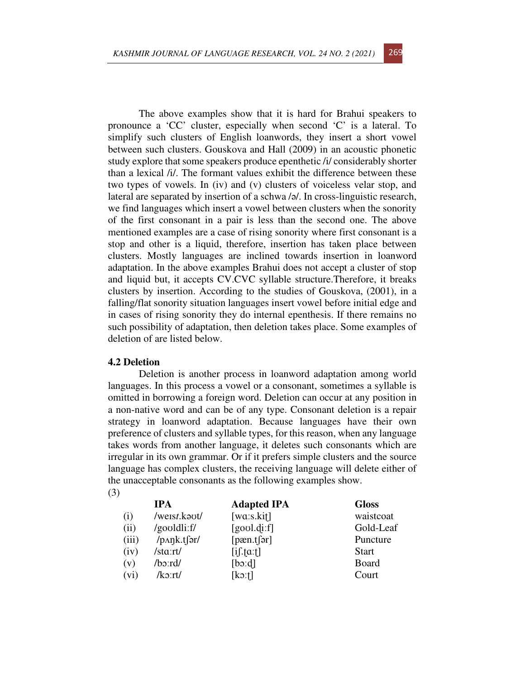The above examples show that it is hard for Brahui speakers to pronounce a 'CC' cluster, especially when second 'C' is a lateral. To simplify such clusters of English loanwords, they insert a short vowel between such clusters. Gouskova and Hall (2009) in an acoustic phonetic study explore that some speakers produce epenthetic /i/ considerably shorter than a lexical /i/. The formant values exhibit the difference between these two types of vowels. In (iv) and (v) clusters of voiceless velar stop, and lateral are separated by insertion of a schwa /ə/. In cross-linguistic research, we find languages which insert a vowel between clusters when the sonority of the first consonant in a pair is less than the second one. The above mentioned examples are a case of rising sonority where first consonant is a stop and other is a liquid, therefore, insertion has taken place between clusters. Mostly languages are inclined towards insertion in loanword adaptation. In the above examples Brahui does not accept a cluster of stop and liquid but, it accepts CV.CVC syllable structure.Therefore, it breaks clusters by insertion. According to the studies of Gouskova, (2001), in a falling/flat sonority situation languages insert vowel before initial edge and in cases of rising sonority they do internal epenthesis. If there remains no such possibility of adaptation, then deletion takes place. Some examples of deletion of are listed below.

#### **4.2 Deletion**

Deletion is another process in loanword adaptation among world languages. In this process a vowel or a consonant, sometimes a syllable is omitted in borrowing a foreign word. Deletion can occur at any position in a non-native word and can be of any type. Consonant deletion is a repair strategy in loanword adaptation. Because languages have their own preference of clusters and syllable types, for this reason, when any language takes words from another language, it deletes such consonants which are irregular in its own grammar. Or if it prefers simple clusters and the source language has complex clusters, the receiving language will delete either of the unacceptable consonants as the following examples show. (3)

|       | <b>IPA</b>               | <b>Adapted IPA</b>             | <b>Gloss</b> |
|-------|--------------------------|--------------------------------|--------------|
| (i)   | /weist.kaut/             | [wa:s.kit]                     | waistcoat    |
| (ii)  | /gooldli:f/              | [goal.dif]                     | Gold-Leaf    |
| (iii) | $/p\Lambda\eta k.t$ fər/ | [parent[5]                     | Puncture     |
| (iv)  | /sta:rt/                 | $[i]$ . $[\alpha$ : $\dagger]$ | <b>Start</b> |
| (v)   | $/b$ o:rd/               | [boxd]                         | Board        |
| (vi)  | $/k$ o:rt $/$            | $[k \circ t]$                  | Court        |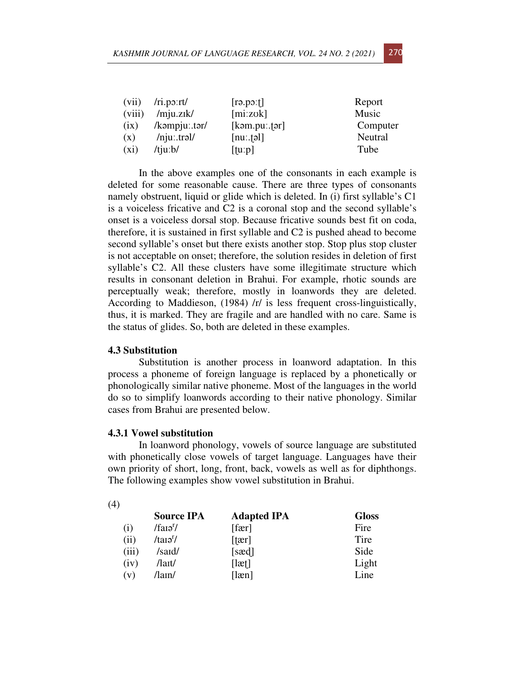| (vii)   | /ri.p2:rt/          | [1.0001]      | Report   |
|---------|---------------------|---------------|----------|
| (viii)  | $/$ mju.zik $/$     | [mi:zok]      | Music    |
| (ix)    | $/k$ əmpju: tər $/$ | $[kom.pu:1]1$ | Computer |
| (x)     | $/$ nju:.trəl       | $[nu$ : tol   | Neutral  |
| $(x_i)$ | $/t$ ju: $b/$       | $[$ [tuːp]    | Tube     |

In the above examples one of the consonants in each example is deleted for some reasonable cause. There are three types of consonants namely obstruent, liquid or glide which is deleted. In (i) first syllable's C1 is a voiceless fricative and C2 is a coronal stop and the second syllable's onset is a voiceless dorsal stop. Because fricative sounds best fit on coda, therefore, it is sustained in first syllable and C2 is pushed ahead to become second syllable's onset but there exists another stop. Stop plus stop cluster is not acceptable on onset; therefore, the solution resides in deletion of first syllable's C2. All these clusters have some illegitimate structure which results in consonant deletion in Brahui. For example, rhotic sounds are perceptually weak; therefore, mostly in loanwords they are deleted. According to Maddieson, (1984) /r/ is less frequent cross-linguistically, thus, it is marked. They are fragile and are handled with no care. Same is the status of glides. So, both are deleted in these examples.

## **4.3 Substitution**

Substitution is another process in loanword adaptation. In this process a phoneme of foreign language is replaced by a phonetically or phonologically similar native phoneme. Most of the languages in the world do so to simplify loanwords according to their native phonology. Similar cases from Brahui are presented below.

### **4.3.1 Vowel substitution**

In loanword phonology, vowels of source language are substituted with phonetically close vowels of target language. Languages have their own priority of short, long, front, back, vowels as well as for diphthongs. The following examples show vowel substitution in Brahui.

|       | <b>Source IPA</b>                 | <b>Adapted IPA</b> | <b>Gloss</b> |
|-------|-----------------------------------|--------------------|--------------|
| (i)   | $/$ fai $\sigma$ <sup>r</sup> $/$ | [far]              | Fire         |
| (ii)  | /taɪə <sup>r</sup> /              | [ <i>ter</i> ]     | Tire         |
| (iii) | /said/                            | [sæd]              | Side         |
| (iv)  | /lait/                            | [let]              | Light        |
| (v)   | /lain/                            | [len]              | Line         |

(4)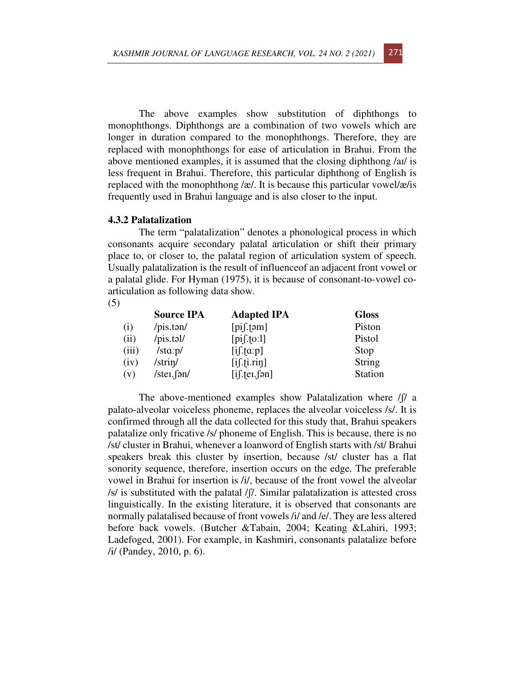The above examples show substitution of diphthongs to monophthongs. Diphthongs are a combination of two vowels which are longer in duration compared to the monophthongs. Therefore, they are replaced with monophthongs for ease of articulation in Brahui. From the above mentioned examples, it is assumed that the closing diphthong /aɪ/ is less frequent in Brahui. Therefore, this particular diphthong of English is replaced with the monophthong /æ/. It is because this particular vowel/æ/is frequently used in Brahui language and is also closer to the input.

#### **4.3.2 Palatalization**

The term "palatalization" denotes a phonological process in which consonants acquire secondary palatal articulation or shift their primary place to, or closer to, the palatal region of articulation system of speech. Usually palatalization is the result of influenceof an adjacent front vowel or a palatal glide. For Hyman (1975), it is because of consonant-to-vowel coarticulation as following data show.

(5)

|       | <b>Source IPA</b>                 | <b>Adapted IPA</b>      | <b>Gloss</b>   |
|-------|-----------------------------------|-------------------------|----------------|
| (i)   | /pis.tan/                         | $[pi]$ . $[əm]$         | Piston         |
| (ii)  | /pis.tal/                         | $[pi].\text{to:}1]$     | Pistol         |
| (iii) | $\frac{\text{1sta}}{\text{1ptb}}$ | $[i]$ : $[a:p]$         | Stop           |
| (iv)  | /strin/                           | $[i]$ . $[i]$ . $r$ $i$ | String         |
| (v)   | /stei.fan/                        | $[i]$ : $[ei]$ $[5n]$   | <b>Station</b> |

The above-mentioned examples show Palatalization where /ʃ/ a palato-alveolar voiceless phoneme, replaces the alveolar voiceless /s/. It is confirmed through all the data collected for this study that, Brahui speakers palatalize only fricative /s/ phoneme of English. This is because, there is no /st/ cluster in Brahui, whenever a loanword of English starts with /st/ Brahui speakers break this cluster by insertion, because /st/ cluster has a flat sonority sequence, therefore, insertion occurs on the edge. The preferable vowel in Brahui for insertion is /i/, because of the front vowel the alveolar /s/ is substituted with the palatal /ʃ/. Similar palatalization is attested cross linguistically. In the existing literature, it is observed that consonants are normally palatalised because of front vowels /i/ and /e/. They are less altered before back vowels. (Butcher &Tabain, 2004; Keating &Lahiri, 1993; Ladefoged, 2001). For example, in Kashmiri, consonants palatalize before /i/ (Pandey, 2010, p. 6).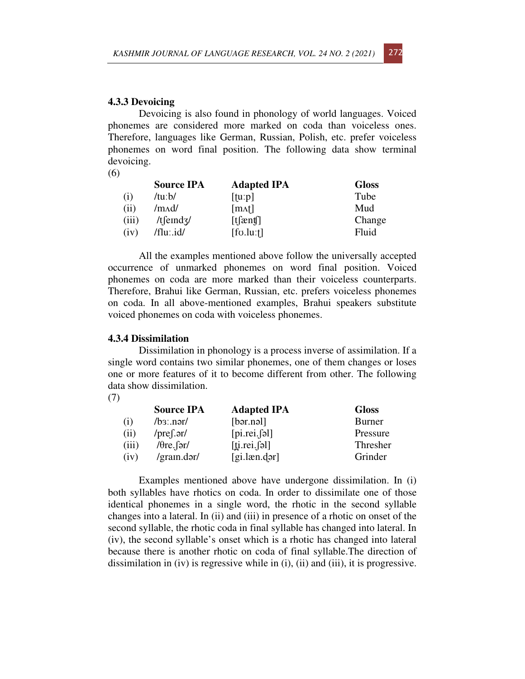#### **4.3.3 Devoicing**

Devoicing is also found in phonology of world languages. Voiced phonemes are considered more marked on coda than voiceless ones. Therefore, languages like German, Russian, Polish, etc. prefer voiceless phonemes on word final position. The following data show terminal devoicing.

(6)

|       | <b>Source IPA</b> | <b>Adapted IPA</b>         | <b>Gloss</b> |
|-------|-------------------|----------------------------|--------------|
| (i)   | /tuːb/            | [tu:p]                     | Tube         |
| (ii)  | /mʌd/             | $\lceil \text{mat} \rceil$ | Mud          |
| (iii) | $/t$ [emd $z$ /   | [t[ænt]                    | Change       |
| (iv)  | /flu:.id/         | $[$ fo.lu: $\uparrow$ ]    | Fluid        |

All the examples mentioned above follow the universally accepted occurrence of unmarked phonemes on word final position. Voiced phonemes on coda are more marked than their voiceless counterparts. Therefore, Brahui like German, Russian, etc. prefers voiceless phonemes on coda. In all above-mentioned examples, Brahui speakers substitute voiced phonemes on coda with voiceless phonemes.

### **4.3.4 Dissimilation**

Dissimilation in phonology is a process inverse of assimilation. If a single word contains two similar phonemes, one of them changes or loses one or more features of it to become different from other. The following data show dissimilation.

|       | <b>Source IPA</b>        | <b>Adapted IPA</b>           | <b>Gloss</b> |
|-------|--------------------------|------------------------------|--------------|
| (i)   | $/b$ <sub>3</sub> : nər/ | [bər.nəl]                    | Burner       |
| (ii)  | / $pref.gr/$             | [pi.rei,[ə]                  | Pressure     |
| (iii) | / $\theta$ re. fər/      | $[\underline{ti}$ .rei. [əl] | Thresher     |
| (iv)  | /grain.dər/              | $[g$ i.læn.dər]              | Grinder      |

Examples mentioned above have undergone dissimilation. In (i) both syllables have rhotics on coda. In order to dissimilate one of those identical phonemes in a single word, the rhotic in the second syllable changes into a lateral. In (ii) and (iii) in presence of a rhotic on onset of the second syllable, the rhotic coda in final syllable has changed into lateral. In (iv), the second syllable's onset which is a rhotic has changed into lateral because there is another rhotic on coda of final syllable.The direction of dissimilation in (iv) is regressive while in (i), (ii) and (iii), it is progressive.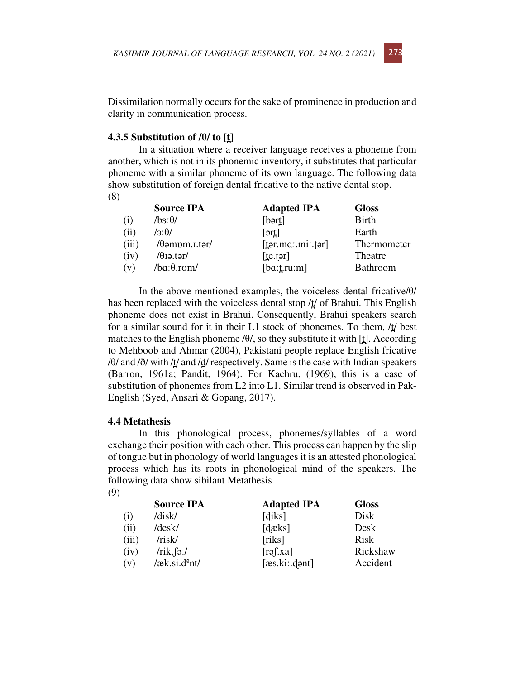Dissimilation normally occurs for the sake of prominence in production and clarity in communication process.

# **4.3.5 Substitution of /θ/ to [t̪]**

In a situation where a receiver language receives a phoneme from another, which is not in its phonemic inventory, it substitutes that particular phoneme with a similar phoneme of its own language. The following data show substitution of foreign dental fricative to the native dental stop. (8)

|                    | <b>Source IPA</b>            | <b>Adapted IPA</b>                 | <b>Gloss</b>    |
|--------------------|------------------------------|------------------------------------|-----------------|
| $\left( 1 \right)$ | $\sqrt{\theta}$ : $\theta$ / | [bar]                              | <b>Birth</b>    |
| (ii)               | / $3:0/$                     | $[\text{ərt}]$                     | Earth           |
| (iii)              | $/ \theta$ əmpm.i.tər $/$    | $[{\underline{t}}$ ər.ma:.mi:.fər] | Thermometer     |
| (iv)               | / $\theta$ iə.tər/           | [te.tər]                           | Theatre         |
| (v)                | $/ba:\theta$ rom/            | $[ba: \underline{t}.ru:m]$         | <b>Bathroom</b> |

In the above-mentioned examples, the voiceless dental fricative/θ/ has been replaced with the voiceless dental stop  $\Delta t$  of Brahui. This English phoneme does not exist in Brahui. Consequently, Brahui speakers search for a similar sound for it in their L1 stock of phonemes. To them,  $/t/$  best matches to the English phoneme  $\theta$ , so they substitute it with [t̪]. According to Mehboob and Ahmar (2004), Pakistani people replace English fricative  $/ \theta$  and  $/ \delta$  with  $/ \frac{t}{\mu}$  and  $/ \frac{d}{r}$  respectively. Same is the case with Indian speakers (Barron, 1961a; Pandit, 1964). For Kachru, (1969), this is a case of substitution of phonemes from L2 into L1. Similar trend is observed in Pak-English (Syed, Ansari & Gopang, 2017).

### **4.4 Metathesis**

In this phonological process, phonemes/syllables of a word exchange their position with each other. This process can happen by the slip of tongue but in phonology of world languages it is an attested phonological process which has its roots in phonological mind of the speakers. The following data show sibilant Metathesis. (9)

|       | <b>Source IPA</b>            | <b>Adapted IPA</b> | <b>Gloss</b> |
|-------|------------------------------|--------------------|--------------|
| (i)   | /disk/                       | [diks]             | Disk         |
| (ii)  | /desk/                       | [dæks]             | Desk         |
| (iii) | /risk/                       | [riks]             | <b>Risk</b>  |
| (iv)  | /rik.fo.'                    | $[rg]$ .xa]        | Rickshaw     |
| (v)   | $/æk$ .si.d <sup>3</sup> nt/ | [æs.ki: dənt]      | Accident     |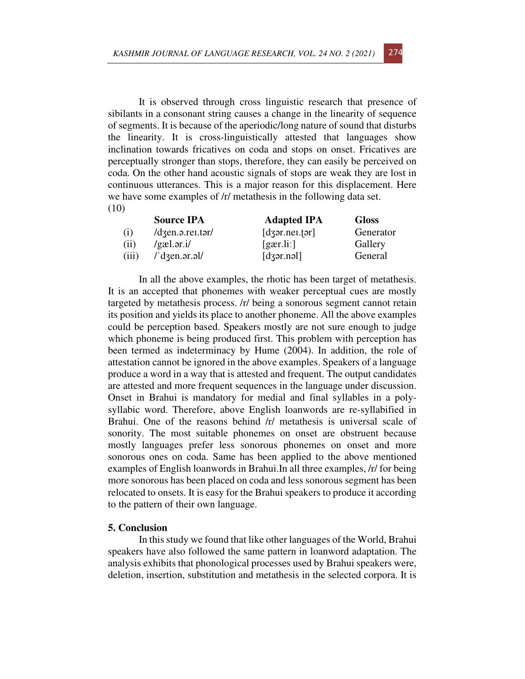It is observed through cross linguistic research that presence of sibilants in a consonant string causes a change in the linearity of sequence of segments. It is because of the aperiodic/long nature of sound that disturbs the linearity. It is cross-linguistically attested that languages show inclination towards fricatives on coda and stops on onset. Fricatives are perceptually stronger than stops, therefore, they can easily be perceived on coda. On the other hand acoustic signals of stops are weak they are lost in continuous utterances. This is a major reason for this displacement. Here we have some examples of /r/ metathesis in the following data set. (10)

|       | <b>Source IPA</b>                                           | <b>Adapted IPA</b>             | <b>Gloss</b> |
|-------|-------------------------------------------------------------|--------------------------------|--------------|
| (i)   | $\frac{1}{\text{d}z}$ en. a. rei. tər $\frac{1}{\text{d}z}$ | $\lceil$ dzər.nei.tər $\rceil$ | Generator    |
| (ii)  | /gæl.ər.i/                                                  | [gar.li]                       | Gallery      |
| (iii) | $\frac{1}{d}$ dzen.ər.əl/                                   | $\lceil$ dzər.nəl $\rceil$     | General      |

In all the above examples, the rhotic has been target of metathesis. It is an accepted that phonemes with weaker perceptual cues are mostly targeted by metathesis process. /r/ being a sonorous segment cannot retain its position and yields its place to another phoneme. All the above examples could be perception based. Speakers mostly are not sure enough to judge which phoneme is being produced first. This problem with perception has been termed as indeterminacy by Hume (2004). In addition, the role of attestation cannot be ignored in the above examples. Speakers of a language produce a word in a way that is attested and frequent. The output candidates are attested and more frequent sequences in the language under discussion. Onset in Brahui is mandatory for medial and final syllables in a polysyllabic word. Therefore, above English loanwords are re-syllabified in Brahui. One of the reasons behind /r/ metathesis is universal scale of sonority. The most suitable phonemes on onset are obstruent because mostly languages prefer less sonorous phonemes on onset and more sonorous ones on coda. Same has been applied to the above mentioned examples of English loanwords in Brahui.In all three examples, /r/ for being more sonorous has been placed on coda and less sonorous segment has been relocated to onsets. It is easy for the Brahui speakers to produce it according to the pattern of their own language.

## **5. Conclusion**

In this study we found that like other languages of the World, Brahui speakers have also followed the same pattern in loanword adaptation. The analysis exhibits that phonological processes used by Brahui speakers were, deletion, insertion, substitution and metathesis in the selected corpora. It is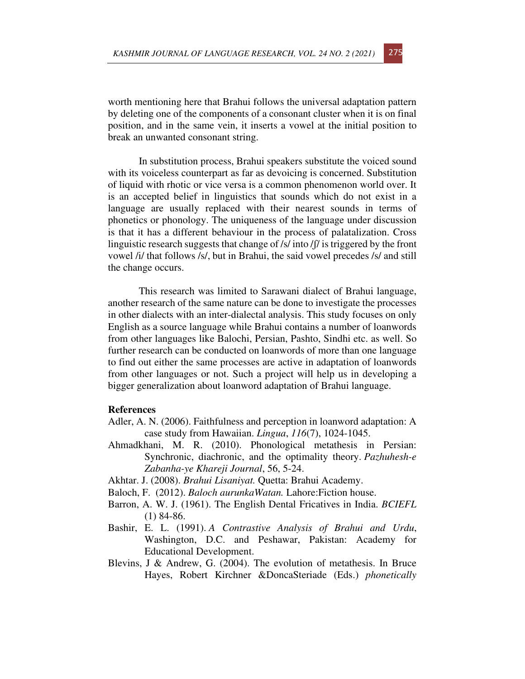worth mentioning here that Brahui follows the universal adaptation pattern by deleting one of the components of a consonant cluster when it is on final position, and in the same vein, it inserts a vowel at the initial position to break an unwanted consonant string.

In substitution process, Brahui speakers substitute the voiced sound with its voiceless counterpart as far as devoicing is concerned. Substitution of liquid with rhotic or vice versa is a common phenomenon world over. It is an accepted belief in linguistics that sounds which do not exist in a language are usually replaced with their nearest sounds in terms of phonetics or phonology. The uniqueness of the language under discussion is that it has a different behaviour in the process of palatalization. Cross linguistic research suggests that change of /s/ into /ʃ/ is triggered by the front vowel /i/ that follows /s/, but in Brahui, the said vowel precedes /s/ and still the change occurs.

This research was limited to Sarawani dialect of Brahui language, another research of the same nature can be done to investigate the processes in other dialects with an inter-dialectal analysis. This study focuses on only English as a source language while Brahui contains a number of loanwords from other languages like Balochi, Persian, Pashto, Sindhi etc. as well. So further research can be conducted on loanwords of more than one language to find out either the same processes are active in adaptation of loanwords from other languages or not. Such a project will help us in developing a bigger generalization about loanword adaptation of Brahui language.

### **References**

- Adler, A. N. (2006). Faithfulness and perception in loanword adaptation: A case study from Hawaiian. *Lingua*, *116*(7), 1024-1045.
- Ahmadkhani, M. R. (2010). Phonological metathesis in Persian: Synchronic, diachronic, and the optimality theory. *Pazhuhesh-e Zabanha-ye Khareji Journal*, 56, 5-24.
- Akhtar. J. (2008). *Brahui Lisaniyat.* Quetta: Brahui Academy.
- Baloch, F. (2012). *Baloch aurunkaWatan.* Lahore:Fiction house.
- Barron, A. W. J. (1961). The English Dental Fricatives in India. *BCIEFL* (1) 84-86.
- Bashir, E. L. (1991). *A Contrastive Analysis of Brahui and Urdu*, Washington, D.C. and Peshawar, Pakistan: Academy for Educational Development.
- Blevins, J & Andrew, G. (2004). The evolution of metathesis. In Bruce Hayes, Robert Kirchner &DoncaSteriade (Eds.) *phonetically*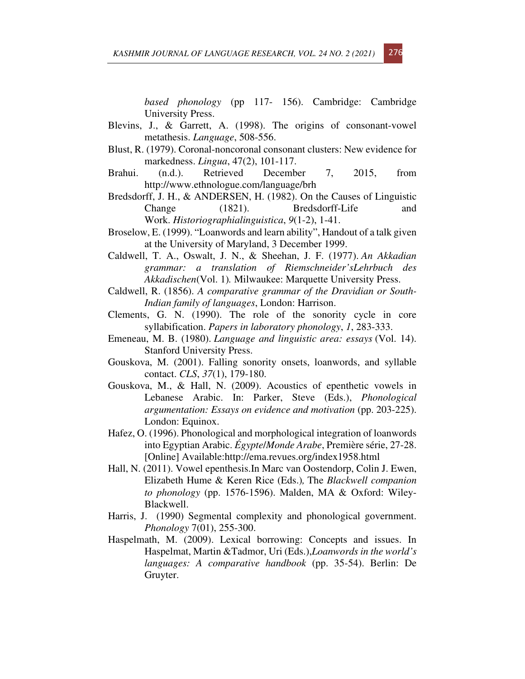*based phonology* (pp 117- 156). Cambridge: Cambridge University Press.

- Blevins, J., & Garrett, A. (1998). The origins of consonant-vowel metathesis. *Language*, 508-556.
- Blust, R. (1979). Coronal-noncoronal consonant clusters: New evidence for markedness. *Lingua*, 47(2), 101-117.
- Brahui. (n.d.). Retrieved December 7, 2015, from http://www.ethnologue.com/language/brh
- Bredsdorff, J. H., & ANDERSEN, H. (1982). On the Causes of Linguistic Change (1821). Bredsdorff-Life and Work. *Historiographialinguistica*, *9*(1-2), 1-41.
- Broselow, E. (1999). "Loanwords and learn ability", Handout of a talk given at the University of Maryland, 3 December 1999.
- Caldwell, T. A., Oswalt, J. N., & Sheehan, J. F. (1977). *An Akkadian grammar: a translation of Riemschneider'sLehrbuch des Akkadischen*(Vol. 1)*.* Milwaukee: Marquette University Press.
- Caldwell, R. (1856). *A comparative grammar of the Dravidian or South-Indian family of languages*, London: Harrison.
- Clements, G. N. (1990). The role of the sonority cycle in core syllabification. *Papers in laboratory phonology*, *1*, 283-333.
- Emeneau, M. B. (1980). *Language and linguistic area: essays* (Vol. 14). Stanford University Press.
- Gouskova, M. (2001). Falling sonority onsets, loanwords, and syllable contact. *CLS*, *37*(1), 179-180.
- Gouskova, M., & Hall, N. (2009). Acoustics of epenthetic vowels in Lebanese Arabic. In: Parker, Steve (Eds.), *Phonological argumentation: Essays on evidence and motivation* (pp. 203-225). London: Equinox.
- Hafez, O. (1996). Phonological and morphological integration of loanwords into Egyptian Arabic. *Égypte*/*Monde Arabe*, Première série, 27-28. [Online] Available:http://ema.revues.org/index1958.html
- Hall, N. (2011). Vowel epenthesis.In Marc van Oostendorp, Colin J. Ewen, Elizabeth Hume & Keren Rice (Eds.)*,* The *Blackwell companion to phonology* (pp. 1576-1596). Malden, MA & Oxford: Wiley-Blackwell.
- Harris, J. (1990) Segmental complexity and phonological government. *Phonology* 7(01), 255-300.
- Haspelmath, M. (2009). Lexical borrowing: Concepts and issues. In Haspelmat, Martin &Tadmor, Uri (Eds.),*Loanwords in the world's languages: A comparative handbook* (pp. 35-54). Berlin: De Gruyter.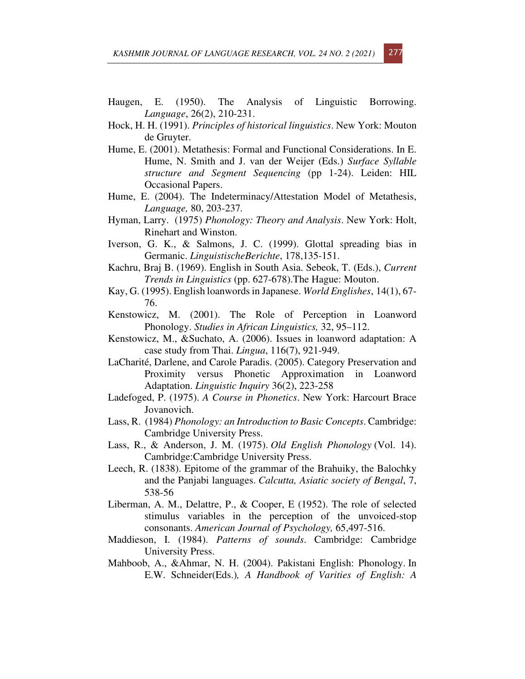- Haugen, E. (1950). The Analysis of Linguistic Borrowing. *Language*, 26(2), 210-231.
- Hock, H. H. (1991). *Principles of historical linguistics*. New York: Mouton de Gruyter.
- Hume, E. (2001). Metathesis: Formal and Functional Considerations. In E. Hume, N. Smith and J. van der Weijer (Eds.) *Surface Syllable structure and Segment Sequencing* (pp 1-24). Leiden: HIL Occasional Papers.
- Hume, E. (2004). The Indeterminacy/Attestation Model of Metathesis, *Language,* 80, 203-237*.*
- Hyman, Larry. (1975) *Phonology: Theory and Analysis*. New York: Holt, Rinehart and Winston.
- Iverson, G. K., & Salmons, J. C. (1999). Glottal spreading bias in Germanic. *LinguistischeBerichte*, 178,135-151.
- Kachru, Braj B. (1969). English in South Asia. Sebeok, T. (Eds.), *Current Trends in Linguistics* (pp. 627-678).The Hague: Mouton.
- Kay, G. (1995). English loanwords in Japanese. *World Englishes*, 14(1), 67- 76.
- Kenstowicz, M. (2001). The Role of Perception in Loanword Phonology. *Studies in African Linguistics,* 32, 95–112.
- Kenstowicz, M., &Suchato, A. (2006). Issues in loanword adaptation: A case study from Thai. *Lingua*, 116(7), 921-949.
- LaCharité, Darlene, and Carole Paradis. (2005). Category Preservation and Proximity versus Phonetic Approximation in Loanword Adaptation. *Linguistic Inquiry* 36(2), 223-258
- Ladefoged, P. (1975). *A Course in Phonetics*. New York: Harcourt Brace Jovanovich.
- Lass, R. (1984) *Phonology: an Introduction to Basic Concepts*. Cambridge: Cambridge University Press.
- Lass, R., & Anderson, J. M. (1975). *Old English Phonology* (Vol. 14). Cambridge:Cambridge University Press.
- Leech, R. (1838). Epitome of the grammar of the Brahuiky, the Balochky and the Panjabi languages. *Calcutta, Asiatic society of Bengal*, 7, 538-56
- Liberman, A. M., Delattre, P., & Cooper, E (1952). The role of selected stimulus variables in the perception of the unvoiced-stop consonants. *American Journal of Psychology,* 65,497-516.
- Maddieson, I. (1984). *Patterns of sounds*. Cambridge: Cambridge University Press.
- Mahboob, A., &Ahmar, N. H. (2004). Pakistani English: Phonology. In E.W. Schneider(Eds.)*, A Handbook of Varities of English: A*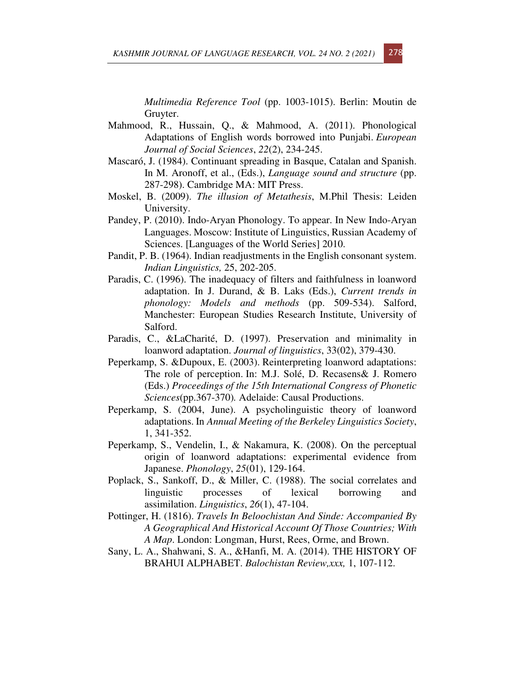*Multimedia Reference Tool* (pp. 1003-1015). Berlin: Moutin de Gruyter.

- Mahmood, R., Hussain, Q., & Mahmood, A. (2011). Phonological Adaptations of English words borrowed into Punjabi. *European Journal of Social Sciences*, *22*(2), 234-245.
- Mascaró, J. (1984). Continuant spreading in Basque, Catalan and Spanish. In M. Aronoff, et al., (Eds.), *Language sound and structure* (pp. 287-298). Cambridge MA: MIT Press.
- Moskel, B. (2009). *The illusion of Metathesis*, M.Phil Thesis: Leiden University.
- Pandey, P. (2010). Indo-Aryan Phonology. To appear. In New Indo-Aryan Languages. Moscow: Institute of Linguistics, Russian Academy of Sciences. [Languages of the World Series] 2010.
- Pandit, P. B. (1964). Indian readjustments in the English consonant system. *Indian Linguistics,* 25, 202-205.
- Paradis, C. (1996). The inadequacy of filters and faithfulness in loanword adaptation. In J. Durand, & B. Laks (Eds.), *Current trends in phonology: Models and methods* (pp. 509-534). Salford, Manchester: European Studies Research Institute, University of Salford.
- Paradis, C., &LaCharité, D. (1997). Preservation and minimality in loanword adaptation. *Journal of linguistics*, 33(02), 379-430.
- Peperkamp, S. &Dupoux, E. (2003). Reinterpreting loanword adaptations: The role of perception. In: M.J. Solé, D. Recasens& J. Romero (Eds.) *Proceedings of the 15th International Congress of Phonetic Sciences*(pp.367-370)*.* Adelaide: Causal Productions.
- Peperkamp, S. (2004, June). A psycholinguistic theory of loanword adaptations. In *Annual Meeting of the Berkeley Linguistics Society*, 1, 341-352.
- Peperkamp, S., Vendelin, I., & Nakamura, K. (2008). On the perceptual origin of loanword adaptations: experimental evidence from Japanese. *Phonology*, *25*(01), 129-164.
- Poplack, S., Sankoff, D., & Miller, C. (1988). The social correlates and linguistic processes of lexical borrowing and assimilation. *Linguistics*, *26*(1), 47-104.
- Pottinger, H. (1816). *Travels In Beloochistan And Sinde: Accompanied By A Geographical And Historical Account Of Those Countries; With A Map*. London: Longman, Hurst, Rees, Orme, and Brown.
- Sany, L. A., Shahwani, S. A., &Hanfi, M. A. (2014). THE HISTORY OF BRAHUI ALPHABET. *Balochistan Review,xxx,* 1, 107-112.